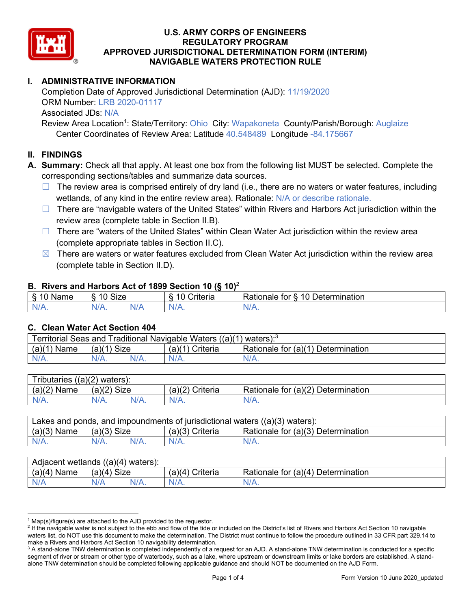

# **I. ADMINISTRATIVE INFORMATION**

Completion Date of Approved Jurisdictional Determination (AJD): 11/19/2020 ORM Number: LRB 2020-01117 Associated JDs: N/A

Review Area Location<sup>1</sup>: State/Territory: Ohio City: Wapakoneta County/Parish/Borough: Auglaize Center Coordinates of Review Area: Latitude 40.548489 Longitude -84.175667

### **II. FINDINGS**

**A. Summary:** Check all that apply. At least one box from the following list MUST be selected. Complete the corresponding sections/tables and summarize data sources.

- $\Box$  The review area is comprised entirely of dry land (i.e., there are no waters or water features, including wetlands, of any kind in the entire review area). Rationale: N/A or describe rationale.
- $\Box$  There are "navigable waters of the United States" within Rivers and Harbors Act jurisdiction within the review area (complete table in Section II.B).
- ☐ There are "waters of the United States" within Clean Water Act jurisdiction within the review area (complete appropriate tables in Section II.C).
- $\boxtimes$  There are waters or water features excluded from Clean Water Act jurisdiction within the review area (complete table in Section II.D).

#### **B. Rivers and Harbors Act of 1899 Section 10 (§ 10)**<sup>2</sup>

| я<br><b></b><br>'vame'<br>υ<br>ູ | Size<br>$\overline{A}$ |     | $\overline{A}$ $\overline{C}$<br>`rıterıa | $\overline{\phantom{a}}$<br>10<br>Jetermination<br>$\sim$<br>tor<br>kationale: |  |  |
|----------------------------------|------------------------|-----|-------------------------------------------|--------------------------------------------------------------------------------|--|--|
| N/L                              | "<br>'V/A.             | NIA | N/L<br>97 / TV                            | <b>IIA</b><br>n.<br>11 I N.                                                    |  |  |

#### **C. Clean Water Act Section 404**

| <b>Territorial Seas and</b><br>Traditional Navigable Waters ((a)(1)<br>waters): <sup>3</sup> |                |  |                    |                                         |  |
|----------------------------------------------------------------------------------------------|----------------|--|--------------------|-----------------------------------------|--|
| (a)(1)<br>Name                                                                               | Size<br>(a)(1) |  | (a)(1)<br>Criteria | Rationale for (a)(1) D<br>Determination |  |
|                                                                                              | $N/A$ .        |  | $N/A$ .            | $N/A$ .                                 |  |

| Tributaries<br>$((a)(2)$ waters): |                       |         |                    |                                    |  |  |
|-----------------------------------|-----------------------|---------|--------------------|------------------------------------|--|--|
| (a)(2)<br>Name                    | (a)(2)<br><b>Size</b> |         | (a)(2)<br>Criteria | Rationale for (a)(2) Determination |  |  |
| $N/A$ .                           | N/A.                  | $N/A$ . | $N/A$ .            | N/A.                               |  |  |

| Lakes and ponds, and impoundments of jurisdictional waters $((a)(3)$ waters): |               |         |                   |                                    |  |
|-------------------------------------------------------------------------------|---------------|---------|-------------------|------------------------------------|--|
| $(a)(3)$ Name                                                                 | $(a)(3)$ Size |         | $(a)(3)$ Criteria | Rationale for (a)(3) Determination |  |
| $N/A$ .                                                                       |               | $N/A$ . | $N/A$ .           | $N/A$ .                            |  |

| Adjacent<br>((a)(4)<br>) waters):<br>wetlands |                       |         |                   |                                          |  |  |
|-----------------------------------------------|-----------------------|---------|-------------------|------------------------------------------|--|--|
| (a)(4)<br>Name                                | (a)(4)<br><b>Size</b> |         | (a)(4<br>Criteria | (a)(4)<br>Rationale for<br>Determination |  |  |
| N/A                                           | N/A                   | $N/A$ . | $N/A$ .           | $N/A$ .                                  |  |  |

 $1$  Map(s)/figure(s) are attached to the AJD provided to the requestor.

<sup>&</sup>lt;sup>2</sup> If the navigable water is not subject to the ebb and flow of the tide or included on the District's list of Rivers and Harbors Act Section 10 navigable waters list, do NOT use this document to make the determination. The District must continue to follow the procedure outlined in 33 CFR part 329.14 to make a Rivers and Harbors Act Section 10 navigability determination.

<sup>&</sup>lt;sup>3</sup> A stand-alone TNW determination is completed independently of a request for an AJD. A stand-alone TNW determination is conducted for a specific segment of river or stream or other type of waterbody, such as a lake, where upstream or downstream limits or lake borders are established. A standalone TNW determination should be completed following applicable guidance and should NOT be documented on the AJD Form.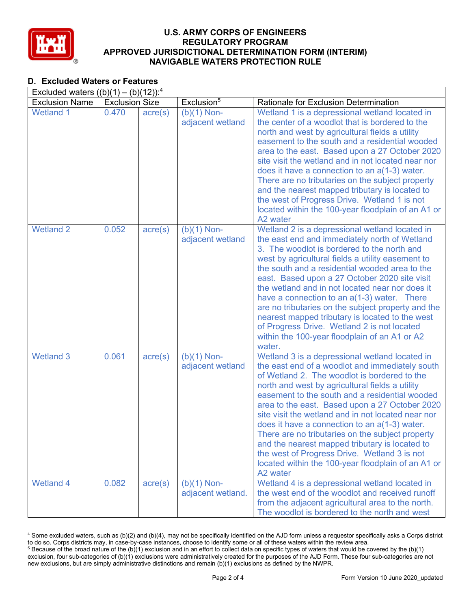

# **D. Excluded Waters or Features**

| Excluded waters $((b)(1) - (b)(12))$ : <sup>4</sup> |                       |                  |                                    |                                                                                                                                                                                                                                                                                                                                                                                                                                                                                                                                                                                                                                         |  |
|-----------------------------------------------------|-----------------------|------------------|------------------------------------|-----------------------------------------------------------------------------------------------------------------------------------------------------------------------------------------------------------------------------------------------------------------------------------------------------------------------------------------------------------------------------------------------------------------------------------------------------------------------------------------------------------------------------------------------------------------------------------------------------------------------------------------|--|
| <b>Exclusion Name</b>                               | <b>Exclusion Size</b> |                  | Exclusion <sup>5</sup>             | Rationale for Exclusion Determination                                                                                                                                                                                                                                                                                                                                                                                                                                                                                                                                                                                                   |  |
| <b>Wetland 1</b>                                    | 0.470                 | $\text{acre}(s)$ | $(b)(1)$ Non-<br>adjacent wetland  | Wetland 1 is a depressional wetland located in<br>the center of a woodlot that is bordered to the<br>north and west by agricultural fields a utility<br>easement to the south and a residential wooded<br>area to the east. Based upon a 27 October 2020<br>site visit the wetland and in not located near nor<br>does it have a connection to an a(1-3) water.<br>There are no tributaries on the subject property<br>and the nearest mapped tributary is located to<br>the west of Progress Drive. Wetland 1 is not<br>located within the 100-year floodplain of an A1 or<br>A2 water                                                 |  |
| <b>Wetland 2</b>                                    | 0.052                 | $\text{acre}(s)$ | $(b)(1)$ Non-<br>adjacent wetland  | Wetland 2 is a depressional wetland located in<br>the east end and immediately north of Wetland<br>3. The woodlot is bordered to the north and<br>west by agricultural fields a utility easement to<br>the south and a residential wooded area to the<br>east. Based upon a 27 October 2020 site visit<br>the wetland and in not located near nor does it<br>have a connection to an $a(1-3)$ water. There<br>are no tributaries on the subject property and the<br>nearest mapped tributary is located to the west<br>of Progress Drive. Wetland 2 is not located<br>within the 100-year floodplain of an A1 or A2<br>water.           |  |
| <b>Wetland 3</b>                                    | 0.061                 | $\text{acre}(s)$ | $(b)(1)$ Non-<br>adjacent wetland  | Wetland 3 is a depressional wetland located in<br>the east end of a woodlot and immediately south<br>of Wetland 2. The woodlot is bordered to the<br>north and west by agricultural fields a utility<br>easement to the south and a residential wooded<br>area to the east. Based upon a 27 October 2020<br>site visit the wetland and in not located near nor<br>does it have a connection to an a(1-3) water.<br>There are no tributaries on the subject property<br>and the nearest mapped tributary is located to<br>the west of Progress Drive. Wetland 3 is not<br>located within the 100-year floodplain of an A1 or<br>A2 water |  |
| <b>Wetland 4</b>                                    | 0.082                 | $\text{acre}(s)$ | $(b)(1)$ Non-<br>adjacent wetland. | Wetland 4 is a depressional wetland located in<br>the west end of the woodlot and received runoff<br>from the adjacent agricultural area to the north.<br>The woodlot is bordered to the north and west                                                                                                                                                                                                                                                                                                                                                                                                                                 |  |

<sup>4</sup> Some excluded waters, such as (b)(2) and (b)(4), may not be specifically identified on the AJD form unless a requestor specifically asks a Corps district to do so. Corps districts may, in case-by-case instances, choose to identify some or all of these waters within the review area.  $5$  Because of the broad nature of the (b)(1) exclusion and in an effort to collect data on specific types of waters that would be covered by the (b)(1)

exclusion, four sub-categories of (b)(1) exclusions were administratively created for the purposes of the AJD Form. These four sub-categories are not new exclusions, but are simply administrative distinctions and remain (b)(1) exclusions as defined by the NWPR.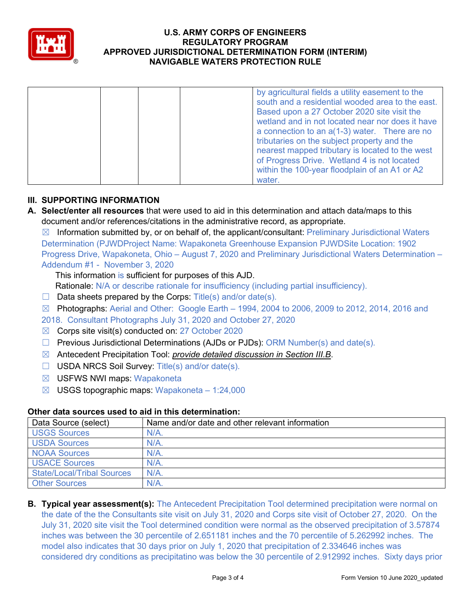

|  | by agricultural fields a utility easement to the |
|--|--------------------------------------------------|
|  | south and a residential wooded area to the east. |
|  | Based upon a 27 October 2020 site visit the      |
|  | wetland and in not located near nor does it have |
|  | a connection to an $a(1-3)$ water. There are no  |
|  | tributaries on the subject property and the      |
|  | nearest mapped tributary is located to the west  |
|  | of Progress Drive. Wetland 4 is not located      |
|  | within the 100-year floodplain of an A1 or A2    |
|  | water.                                           |

# **III. SUPPORTING INFORMATION**

- **A. Select/enter all resources** that were used to aid in this determination and attach data/maps to this document and/or references/citations in the administrative record, as appropriate.
	- $\boxtimes$  Information submitted by, or on behalf of, the applicant/consultant: Preliminary Jurisdictional Waters Determination (PJWDProject Name: Wapakoneta Greenhouse Expansion PJWDSite Location: 1902 Progress Drive, Wapakoneta, Ohio – August 7, 2020 and Preliminary Jurisdictional Waters Determination – Addendum #1 - November 3, 2020

This information is sufficient for purposes of this AJD.

Rationale: N/A or describe rationale for insufficiency (including partial insufficiency).

- $\Box$  Data sheets prepared by the Corps: Title(s) and/or date(s).
- $\boxtimes$  Photographs: Aerial and Other: Google Earth 1994, 2004 to 2006, 2009 to 2012, 2014, 2016 and
- 2018. Consultant Photographs July 31, 2020 and October 27, 2020
- ☒ Corps site visit(s) conducted on: 27 October 2020
- ☐ Previous Jurisdictional Determinations (AJDs or PJDs): ORM Number(s) and date(s).
- ☒ Antecedent Precipitation Tool: *provide detailed discussion in Section III.B*.
- ☐ USDA NRCS Soil Survey: Title(s) and/or date(s).
- ☒ USFWS NWI maps: Wapakoneta
- $\boxtimes$  USGS topographic maps: Wapakoneta 1:24,000

## **Other data sources used to aid in this determination:**

| Data Source (select)              | Name and/or date and other relevant information |
|-----------------------------------|-------------------------------------------------|
| <b>USGS Sources</b>               | $N/A$ .                                         |
| <b>USDA Sources</b>               | N/A                                             |
| <b>NOAA Sources</b>               | $N/A$ .                                         |
| <b>USACE Sources</b>              | $N/A$ .                                         |
| <b>State/Local/Tribal Sources</b> | N/A                                             |
| <b>Other Sources</b>              | N/A                                             |

**B. Typical year assessment(s):** The Antecedent Precipitation Tool determined precipitation were normal on the date of the the Consultants site visit on July 31, 2020 and Corps site visit of October 27, 2020. On the July 31, 2020 site visit the Tool determined condition were normal as the observed precipitation of 3.57874 inches was between the 30 percentile of 2.651181 inches and the 70 percentile of 5.262992 inches. The model also indicates that 30 days prior on July 1, 2020 that precipitation of 2.334646 inches was considered dry conditions as precipitatino was below the 30 percentile of 2.912992 inches. Sixty days prior